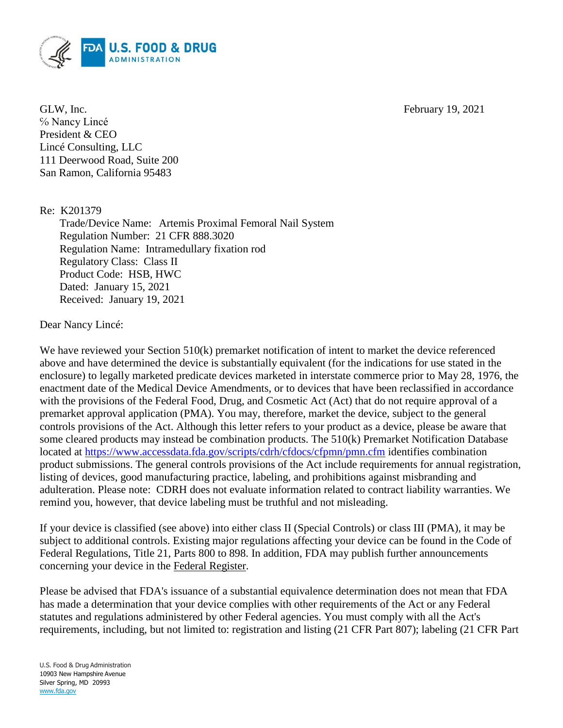

GLW, Inc. February 19, 2021 ℅ Nancy Lincé President & CEO Lincé Consulting, LLC 111 Deerwood Road, Suite 200 San Ramon, California 95483

Re: K201379

Trade/Device Name: Artemis Proximal Femoral Nail System Regulation Number: 21 CFR 888.3020 Regulation Name: Intramedullary fixation rod Regulatory Class: Class II Product Code: HSB, HWC Dated: January 15, 2021 Received: January 19, 2021

Dear Nancy Lincé:

We have reviewed your Section 510(k) premarket notification of intent to market the device referenced above and have determined the device is substantially equivalent (for the indications for use stated in the enclosure) to legally marketed predicate devices marketed in interstate commerce prior to May 28, 1976, the enactment date of the Medical Device Amendments, or to devices that have been reclassified in accordance with the provisions of the Federal Food, Drug, and Cosmetic Act (Act) that do not require approval of a premarket approval application (PMA). You may, therefore, market the device, subject to the general controls provisions of the Act. Although this letter refers to your product as a device, please be aware that some cleared products may instead be combination products. The 510(k) Premarket Notification Database located at<https://www.accessdata.fda.gov/scripts/cdrh/cfdocs/cfpmn/pmn.cfm> identifies combination product submissions. The general controls provisions of the Act include requirements for annual registration, listing of devices, good manufacturing practice, labeling, and prohibitions against misbranding and adulteration. Please note: CDRH does not evaluate information related to contract liability warranties. We remind you, however, that device labeling must be truthful and not misleading.

If your device is classified (see above) into either class II (Special Controls) or class III (PMA), it may be subject to additional controls. Existing major regulations affecting your device can be found in the Code of Federal Regulations, Title 21, Parts 800 to 898. In addition, FDA may publish further announcements concerning your device in the Federal Register.

Please be advised that FDA's issuance of a substantial equivalence determination does not mean that FDA has made a determination that your device complies with other requirements of the Act or any Federal statutes and regulations administered by other Federal agencies. You must comply with all the Act's requirements, including, but not limited to: registration and listing (21 CFR Part 807); labeling (21 CFR Part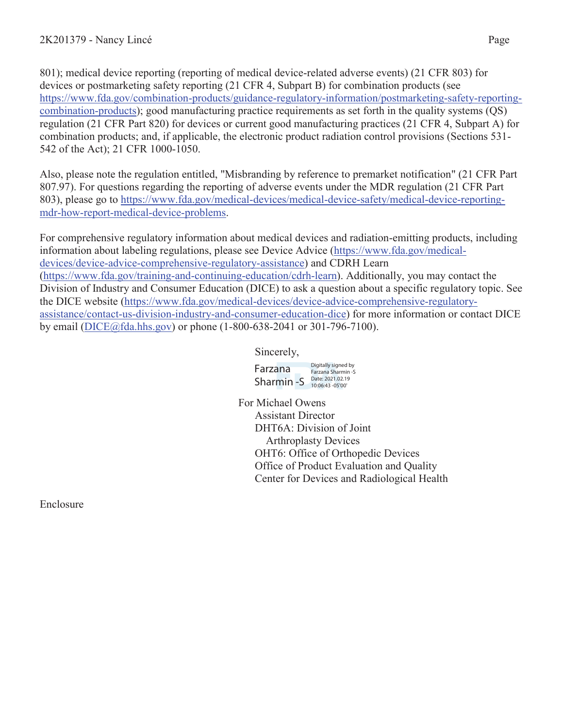801); medical device reporting (reporting of medical device-related adverse events) (21 CFR 803) for devices or postmarketing safety reporting (21 CFR 4, Subpart B) for combination products (see https://www.fda.gov/combination-products/guidance-regulatory-information/postmarketing-safety-reportingcombination-products); good manufacturing practice requirements as set forth in the quality systems (QS) regulation (21 CFR Part 820) for devices or current good manufacturing practices (21 CFR 4, Subpart A) for combination products; and, if applicable, the electronic product radiation control provisions (Sections 531- 542 of the Act); 21 CFR 1000-1050.

Also, please note the regulation entitled, "Misbranding by reference to premarket notification" (21 CFR Part 807.97). For questions regarding the reporting of adverse events under the MDR regulation (21 CFR Part 803), please go to https://www.fda.gov/medical-devices/medical-device-safety/medical-device-reportingmdr-how-report-medical-device-problems.

For comprehensive regulatory information about medical devices and radiation-emitting products, including information about labeling regulations, please see Device Advice (https://www.fda.gov/medicaldevices/device-advice-comprehensive-regulatory-assistance) and CDRH Learn (https://www.fda.gov/training-and-continuing-education/cdrh-learn). Additionally, you may contact the Division of Industry and Consumer Education (DICE) to ask a question about a specific regulatory topic. See the DICE website (https://www.fda.gov/medical-devices/device-advice-comprehensive-regulatoryassistance/contact-us-division-industry-and-consumer-education-dice) for more information or contact DICE by email (DICE@fda.hhs.gov) or phone (1-800-638-2041 or 301-796-7100).

Sincerely,

Farzana

Sharmin -S Date: 2021.02.19 Digitally signed by Farzana Sharmin -S

For Michael Owens Assistant Director DHT6A: Division of Joint Arthroplasty Devices OHT6: Office of Orthopedic Devices Office of Product Evaluation and Quality Center for Devices and Radiological Health

Enclosure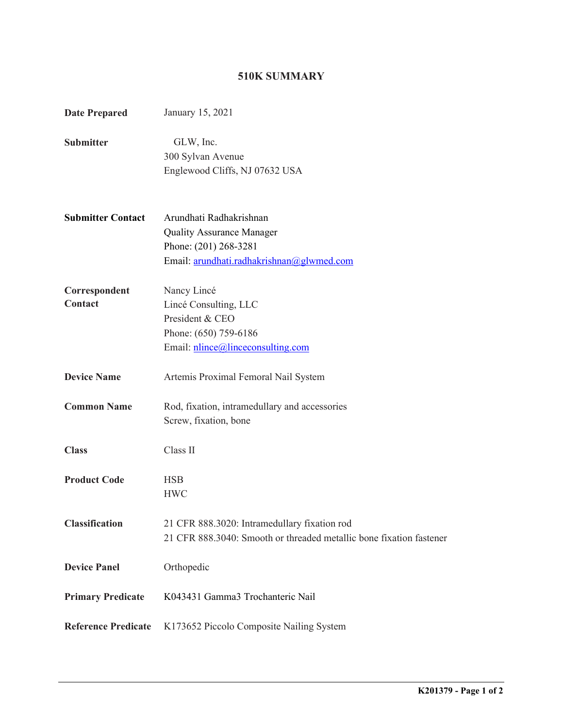## **510K SUMMARY**

| <b>Date Prepared</b>       | January 15, 2021                                                                                                                  |
|----------------------------|-----------------------------------------------------------------------------------------------------------------------------------|
| <b>Submitter</b>           | GLW, Inc.<br>300 Sylvan Avenue<br>Englewood Cliffs, NJ 07632 USA                                                                  |
| <b>Submitter Contact</b>   | Arundhati Radhakrishnan<br><b>Quality Assurance Manager</b><br>Phone: (201) 268-3281<br>Email: arundhati.radhakrishnan@glwmed.com |
| Correspondent<br>Contact   | Nancy Lincé<br>Lincé Consulting, LLC<br>President & CEO<br>Phone: (650) 759-6186<br>Email: nlince@linceconsulting.com             |
| <b>Device Name</b>         | Artemis Proximal Femoral Nail System                                                                                              |
| <b>Common Name</b>         | Rod, fixation, intramedullary and accessories<br>Screw, fixation, bone                                                            |
| <b>Class</b>               | Class II                                                                                                                          |
| <b>Product Code</b>        | <b>HSB</b><br><b>HWC</b>                                                                                                          |
| <b>Classification</b>      | 21 CFR 888.3020: Intramedullary fixation rod<br>21 CFR 888.3040: Smooth or threaded metallic bone fixation fastener               |
| <b>Device Panel</b>        | Orthopedic                                                                                                                        |
| <b>Primary Predicate</b>   | K043431 Gamma3 Trochanteric Nail                                                                                                  |
| <b>Reference Predicate</b> | K173652 Piccolo Composite Nailing System                                                                                          |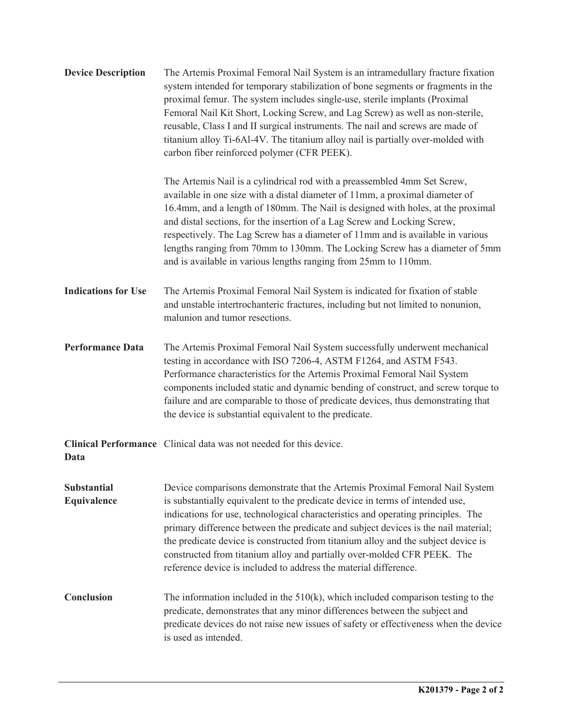| <b>Device Description</b>         | The Artemis Proximal Femoral Nail System is an intramedullary fracture fixation<br>system intended for temporary stabilization of bone segments or fragments in the<br>proximal femur. The system includes single-use, sterile implants (Proximal<br>Femoral Nail Kit Short, Locking Screw, and Lag Screw) as well as non-sterile,<br>reusable, Class I and II surgical instruments. The nail and screws are made of<br>titanium alloy Ti-6Al-4V. The titanium alloy nail is partially over-molded with<br>carbon fiber reinforced polymer (CFR PEEK).                      |
|-----------------------------------|-----------------------------------------------------------------------------------------------------------------------------------------------------------------------------------------------------------------------------------------------------------------------------------------------------------------------------------------------------------------------------------------------------------------------------------------------------------------------------------------------------------------------------------------------------------------------------|
|                                   | The Artemis Nail is a cylindrical rod with a preassembled 4mm Set Screw,<br>available in one size with a distal diameter of 11mm, a proximal diameter of<br>16.4mm, and a length of 180mm. The Nail is designed with holes, at the proximal<br>and distal sections, for the insertion of a Lag Screw and Locking Screw,<br>respectively. The Lag Screw has a diameter of 11mm and is available in various<br>lengths ranging from 70mm to 130mm. The Locking Screw has a diameter of 5mm<br>and is available in various lengths ranging from 25mm to 110mm.                 |
| <b>Indications for Use</b>        | The Artemis Proximal Femoral Nail System is indicated for fixation of stable<br>and unstable intertrochanteric fractures, including but not limited to nonunion,<br>malunion and tumor resections.                                                                                                                                                                                                                                                                                                                                                                          |
| <b>Performance Data</b>           | The Artemis Proximal Femoral Nail System successfully underwent mechanical<br>testing in accordance with ISO 7206-4, ASTM F1264, and ASTM F543.<br>Performance characteristics for the Artemis Proximal Femoral Nail System<br>components included static and dynamic bending of construct, and screw torque to<br>failure and are comparable to those of predicate devices, thus demonstrating that<br>the device is substantial equivalent to the predicate.                                                                                                              |
| Data                              | Clinical Performance Clinical data was not needed for this device.                                                                                                                                                                                                                                                                                                                                                                                                                                                                                                          |
| <b>Substantial</b><br>Equivalence | Device comparisons demonstrate that the Artemis Proximal Femoral Nail System<br>is substantially equivalent to the predicate device in terms of intended use,<br>indications for use, technological characteristics and operating principles. The<br>primary difference between the predicate and subject devices is the nail material;<br>the predicate device is constructed from titanium alloy and the subject device is<br>constructed from titanium alloy and partially over-molded CFR PEEK. The<br>reference device is included to address the material difference. |
| Conclusion                        | The information included in the $510(k)$ , which included comparison testing to the<br>predicate, demonstrates that any minor differences between the subject and<br>predicate devices do not raise new issues of safety or effectiveness when the device<br>is used as intended.                                                                                                                                                                                                                                                                                           |